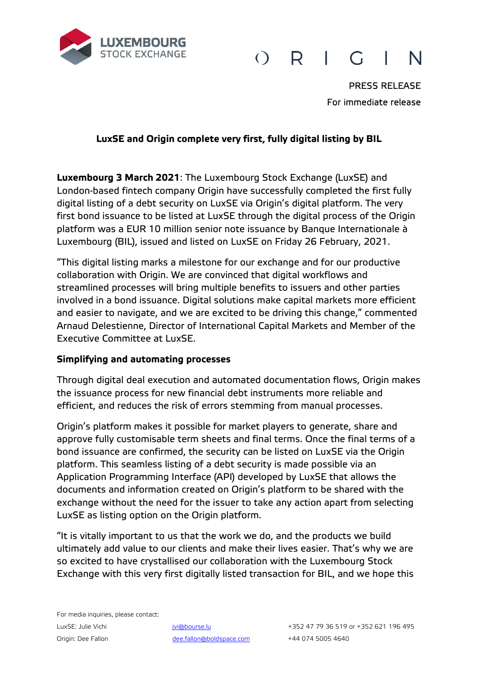

#### R.  $\left( \ \right)$  $\mathcal{C}_{1}$ N

PRESS RELEASE For immediate release

# **LuxSE and Origin complete very first, fully digital listing by BIL**

**Luxembourg 3 March 2021**: The Luxembourg Stock Exchange (LuxSE) and London-based fintech company Origin have successfully completed the first fully digital listing of a debt security on LuxSE via Origin's digital platform. The very first bond issuance to be listed at LuxSE through the digital process of the Origin platform was a EUR 10 million senior note issuance by Banque Internationale à Luxembourg (BIL), issued and listed on LuxSE on Friday 26 February, 2021.

"This digital listing marks a milestone for our exchange and for our productive collaboration with Origin. We are convinced that digital workflows and streamlined processes will bring multiple benefits to issuers and other parties involved in a bond issuance. Digital solutions make capital markets more efficient and easier to navigate, and we are excited to be driving this change," commented Arnaud Delestienne, Director of International Capital Markets and Member of the Executive Committee at LuxSE.

## **Simplifying and automating processes**

Through digital deal execution and automated documentation flows, Origin makes the issuance process for new financial debt instruments more reliable and efficient, and reduces the risk of errors stemming from manual processes.

Origin's platform makes it possible for market players to generate, share and approve fully customisable term sheets and final terms. Once the final terms of a bond issuance are confirmed, the security can be listed on LuxSE via the Origin platform. This seamless listing of a debt security is made possible via an Application Programming Interface (API) developed by LuxSE that allows the documents and information created on Origin's platform to be shared with the exchange without the need for the issuer to take any action apart from selecting LuxSE as listing option on the Origin platform.

"It is vitally important to us that the work we do, and the products we build ultimately add value to our clients and make their lives easier. That's why we are so excited to have crystallised our collaboration with the Luxembourg Stock Exchange with this very first digitally listed transaction for BIL, and we hope this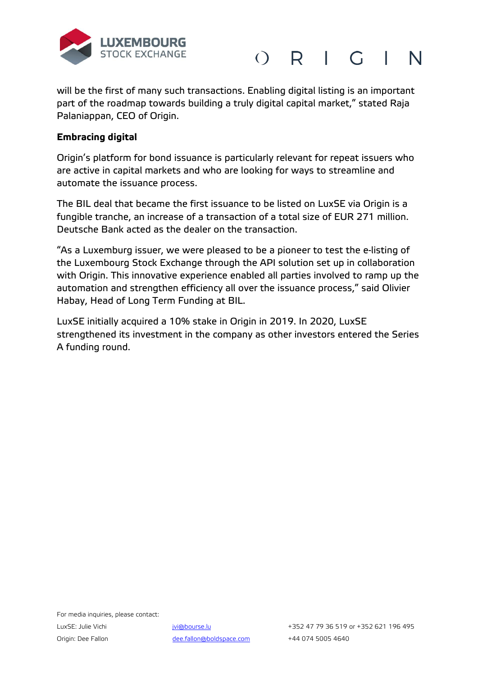



will be the first of many such transactions. Enabling digital listing is an important part of the roadmap towards building a truly digital capital market," stated Raja Palaniappan, CEO of Origin.

## **Embracing digital**

Origin's platform for bond issuance is particularly relevant for repeat issuers who are active in capital markets and who are looking for ways to streamline and automate the issuance process.

The BIL deal that became the first issuance to be listed on LuxSE via Origin is a fungible tranche, an increase of a transaction of a total size of EUR 271 million. Deutsche Bank acted as the dealer on the transaction.

"As a Luxemburg issuer, we were pleased to be a pioneer to test the e-listing of the Luxembourg Stock Exchange through the API solution set up in collaboration with Origin. This innovative experience enabled all parties involved to ramp up the automation and strengthen efficiency all over the issuance process," said Olivier Habay, Head of Long Term Funding at BIL.

LuxSE initially acquired a 10% stake in Origin in 2019. In 2020, LuxSE strengthened its investment in the company as other investors entered the Series A funding round.